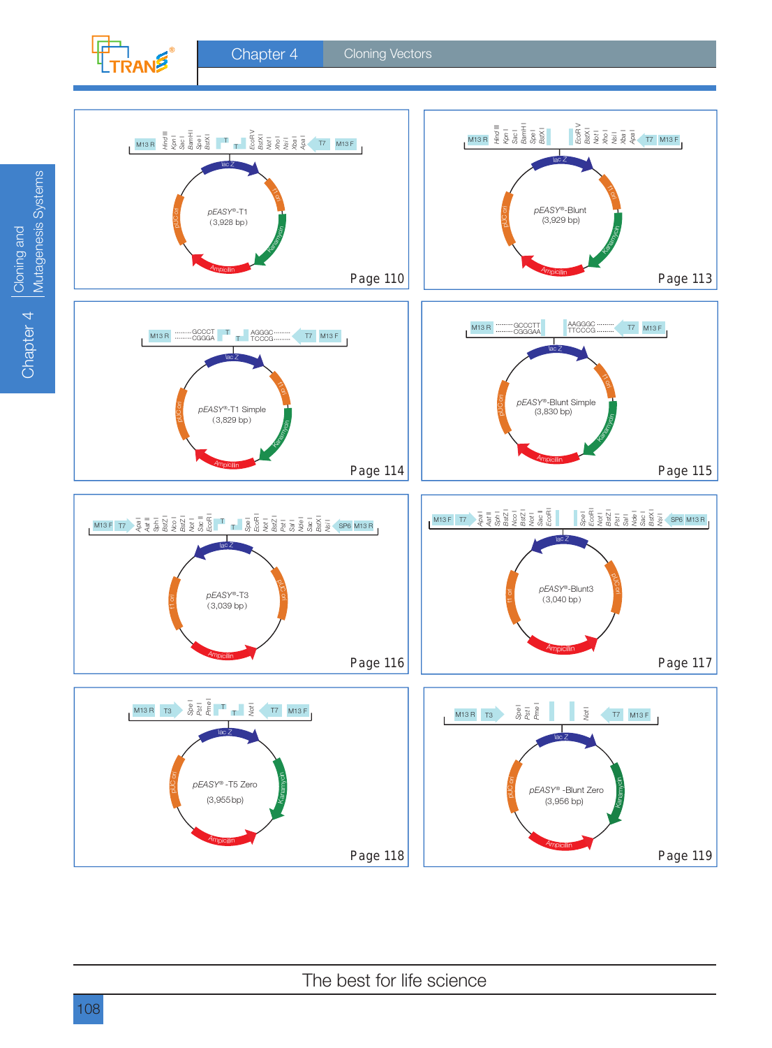

*pEASY*®-T1

pUC ori

(3,928 bp) *pEASY*®-T1 Simple



pBR322 ori